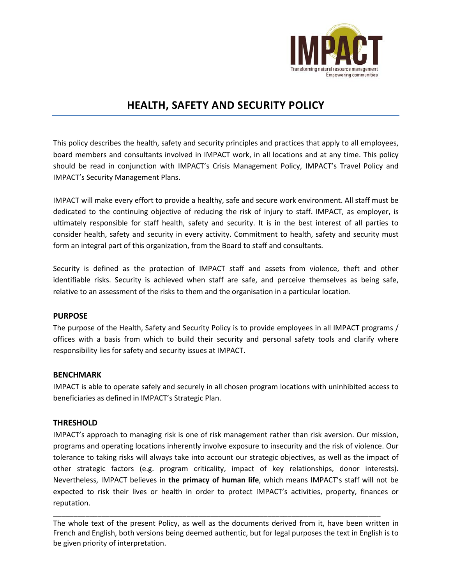

# **HEALTH, SAFETY AND SECURITY POLICY**

This policy describes the health, safety and security principles and practices that apply to all employees, board members and consultants involved in IMPACT work, in all locations and at any time. This policy should be read in conjunction with IMPACT's Crisis Management Policy, IMPACT's Travel Policy and IMPACT's Security Management Plans.

IMPACT will make every effort to provide a healthy, safe and secure work environment. All staff must be dedicated to the continuing objective of reducing the risk of injury to staff. IMPACT, as employer, is ultimately responsible for staff health, safety and security. It is in the best interest of all parties to consider health, safety and security in every activity. Commitment to health, safety and security must form an integral part of this organization, from the Board to staff and consultants.

Security is defined as the protection of IMPACT staff and assets from violence, theft and other identifiable risks. Security is achieved when staff are safe, and perceive themselves as being safe, relative to an assessment of the risks to them and the organisation in a particular location.

#### **PURPOSE**

The purpose of the Health, Safety and Security Policy is to provide employees in all IMPACT programs / offices with a basis from which to build their security and personal safety tools and clarify where responsibility lies for safety and security issues at IMPACT.

#### **BENCHMARK**

IMPACT is able to operate safely and securely in all chosen program locations with uninhibited access to beneficiaries as defined in IMPACT's Strategic Plan.

## **THRESHOLD**

IMPACT's approach to managing risk is one of risk management rather than risk aversion. Our mission, programs and operating locations inherently involve exposure to insecurity and the risk of violence. Our tolerance to taking risks will always take into account our strategic objectives, as well as the impact of other strategic factors (e.g. program criticality, impact of key relationships, donor interests). Nevertheless, IMPACT believes in **the primacy of human life**, which means IMPACT's staff will not be expected to risk their lives or health in order to protect IMPACT's activities, property, finances or reputation.

\_\_\_\_\_\_\_\_\_\_\_\_\_\_\_\_\_\_\_\_\_\_\_\_\_\_\_\_\_\_\_\_\_\_\_\_\_\_\_\_\_\_\_\_\_\_\_\_\_\_\_\_\_\_\_\_\_\_\_\_\_\_\_\_\_\_\_\_\_\_\_\_\_\_\_\_\_\_\_\_\_ The whole text of the present Policy, as well as the documents derived from it, have been written in French and English, both versions being deemed authentic, but for legal purposes the text in English is to be given priority of interpretation.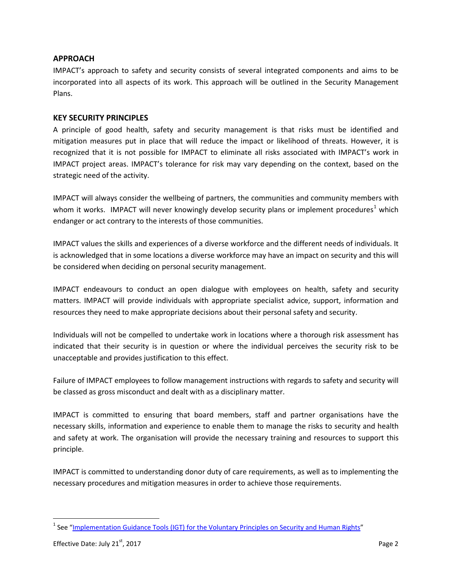## **APPROACH**

IMPACT's approach to safety and security consists of several integrated components and aims to be incorporated into all aspects of its work. This approach will be outlined in the Security Management Plans.

## **KEY SECURITY PRINCIPLES**

A principle of good health, safety and security management is that risks must be identified and mitigation measures put in place that will reduce the impact or likelihood of threats. However, it is recognized that it is not possible for IMPACT to eliminate all risks associated with IMPACT's work in IMPACT project areas. IMPACT's tolerance for risk may vary depending on the context, based on the strategic need of the activity.

IMPACT will always consider the wellbeing of partners, the communities and community members with whom it works. IMPACT will never knowingly develop security plans or implement procedures<sup>[1](#page-1-0)</sup> which endanger or act contrary to the interests of those communities.

IMPACT values the skills and experiences of a diverse workforce and the different needs of individuals. It is acknowledged that in some locations a diverse workforce may have an impact on security and this will be considered when deciding on personal security management.

IMPACT endeavours to conduct an open dialogue with employees on health, safety and security matters. IMPACT will provide individuals with appropriate specialist advice, support, information and resources they need to make appropriate decisions about their personal safety and security.

Individuals will not be compelled to undertake work in locations where a thorough risk assessment has indicated that their security is in question or where the individual perceives the security risk to be unacceptable and provides justification to this effect.

Failure of IMPACT employees to follow management instructions with regards to safety and security will be classed as gross misconduct and dealt with as a disciplinary matter.

IMPACT is committed to ensuring that board members, staff and partner organisations have the necessary skills, information and experience to enable them to manage the risks to security and health and safety at work. The organisation will provide the necessary training and resources to support this principle.

IMPACT is committed to understanding donor duty of care requirements, as well as to implementing the necessary procedures and mitigation measures in order to achieve those requirements.

<span id="page-1-0"></span><sup>&</sup>lt;sup>1</sup> See ["Implementation Guidance Tools \(IGT\) for the Voluntary Principles on Security and Human Rights"](http://www.voluntaryprinciples.org/files/Implementation_Guidance_Tools.pdf)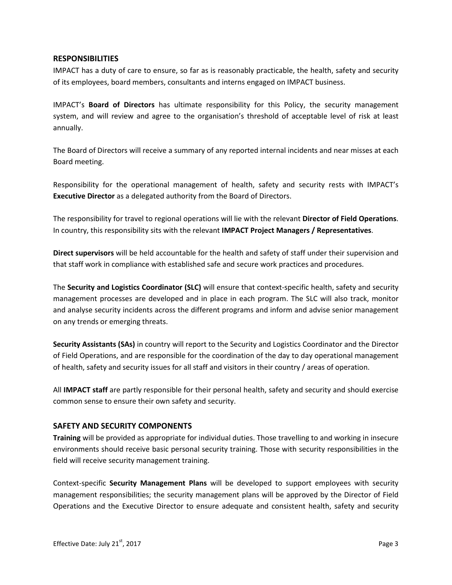#### **RESPONSIBILITIES**

IMPACT has a duty of care to ensure, so far as is reasonably practicable, the health, safety and security of its employees, board members, consultants and interns engaged on IMPACT business.

IMPACT's **Board of Directors** has ultimate responsibility for this Policy, the security management system, and will review and agree to the organisation's threshold of acceptable level of risk at least annually.

The Board of Directors will receive a summary of any reported internal incidents and near misses at each Board meeting.

Responsibility for the operational management of health, safety and security rests with IMPACT's **Executive Director** as a delegated authority from the Board of Directors.

The responsibility for travel to regional operations will lie with the relevant **Director of Field Operations**. In country, this responsibility sits with the relevant **IMPACT Project Managers / Representatives**.

**Direct supervisors** will be held accountable for the health and safety of staff under their supervision and that staff work in compliance with established safe and secure work practices and procedures.

The **Security and Logistics Coordinator (SLC)** will ensure that context-specific health, safety and security management processes are developed and in place in each program. The SLC will also track, monitor and analyse security incidents across the different programs and inform and advise senior management on any trends or emerging threats.

**Security Assistants (SAs)** in country will report to the Security and Logistics Coordinator and the Director of Field Operations, and are responsible for the coordination of the day to day operational management of health, safety and security issues for all staff and visitors in their country / areas of operation.

All **IMPACT staff** are partly responsible for their personal health, safety and security and should exercise common sense to ensure their own safety and security.

#### **SAFETY AND SECURITY COMPONENTS**

**Training** will be provided as appropriate for individual duties. Those travelling to and working in insecure environments should receive basic personal security training. Those with security responsibilities in the field will receive security management training.

Context-specific **Security Management Plans** will be developed to support employees with security management responsibilities; the security management plans will be approved by the Director of Field Operations and the Executive Director to ensure adequate and consistent health, safety and security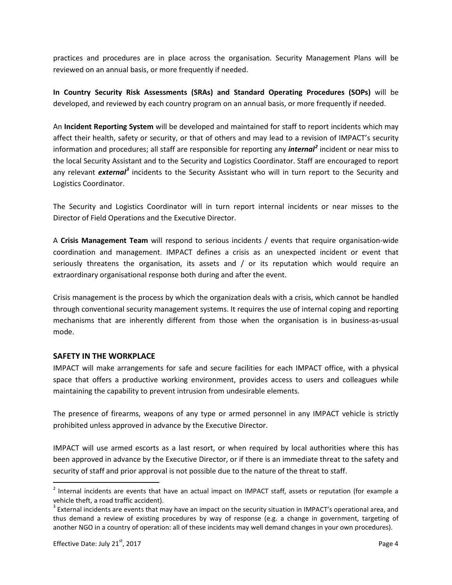practices and procedures are in place across the organisation. Security Management Plans will be reviewed on an annual basis, or more frequently if needed.

**In Country Security Risk Assessments (SRAs) and Standard Operating Procedures (SOPs)** will be developed, and reviewed by each country program on an annual basis, or more frequently if needed.

An **Incident Reporting System** will be developed and maintained for staff to report incidents which may affect their health, safety or security, or that of others and may lead to a revision of IMPACT's security information and procedures; all staff are responsible for reporting any *internal[2](#page-3-0)* incident or near miss to the local Security Assistant and to the Security and Logistics Coordinator. Staff are encouraged to report any relevant *external[3](#page-3-1)* incidents to the Security Assistant who will in turn report to the Security and Logistics Coordinator.

The Security and Logistics Coordinator will in turn report internal incidents or near misses to the Director of Field Operations and the Executive Director.

A **Crisis Management Team** will respond to serious incidents / events that require organisation-wide coordination and management. IMPACT defines a crisis as an unexpected incident or event that seriously threatens the organisation, its assets and / or its reputation which would require an extraordinary organisational response both during and after the event.

Crisis management is the process by which the organization deals with a crisis, which cannot be handled through conventional security management systems. It requires the use of internal coping and reporting mechanisms that are inherently different from those when the organisation is in business-as-usual mode.

#### **SAFETY IN THE WORKPLACE**

IMPACT will make arrangements for safe and secure facilities for each IMPACT office, with a physical space that offers a productive working environment, provides access to users and colleagues while maintaining the capability to prevent intrusion from undesirable elements.

The presence of firearms, weapons of any type or armed personnel in any IMPACT vehicle is strictly prohibited unless approved in advance by the Executive Director.

IMPACT will use armed escorts as a last resort, or when required by local authorities where this has been approved in advance by the Executive Director, or if there is an immediate threat to the safety and security of staff and prior approval is not possible due to the nature of the threat to staff.

<span id="page-3-0"></span> $2$  Internal incidents are events that have an actual impact on IMPACT staff, assets or reputation (for example a vehicle theft, a road traffic accident).

<span id="page-3-1"></span><sup>&</sup>lt;sup>3</sup> External incidents are events that may have an impact on the security situation in IMPACT's operational area, and thus demand a review of existing procedures by way of response (e.g. a change in government, targeting of another NGO in a country of operation: all of these incidents may well demand changes in your own procedures).